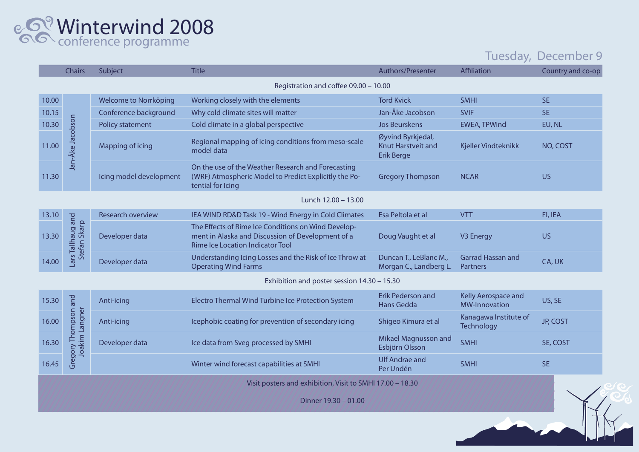Winterwind 2008 conference programme

## Tuesday, December 9

|                                                           | <b>Chairs</b>                          | Subject                 | <b>Title</b>                                                                                                                                 | Authors/Presenter                                                   | Affiliation                                 | Country and co-op |  |  |
|-----------------------------------------------------------|----------------------------------------|-------------------------|----------------------------------------------------------------------------------------------------------------------------------------------|---------------------------------------------------------------------|---------------------------------------------|-------------------|--|--|
| Registration and coffee 09.00 - 10.00                     |                                        |                         |                                                                                                                                              |                                                                     |                                             |                   |  |  |
| 10.00                                                     | Jan-Åke Jacobson                       | Welcome to Norrköping   | Working closely with the elements                                                                                                            | <b>Tord Kvick</b>                                                   | <b>SMHI</b>                                 | <b>SE</b>         |  |  |
| 10.15                                                     |                                        | Conference background   | Why cold climate sites will matter                                                                                                           | Jan-Åke Jacobson                                                    | <b>SVIF</b>                                 | <b>SE</b>         |  |  |
| 10.30                                                     |                                        | <b>Policy statement</b> | Cold climate in a global perspective                                                                                                         | <b>Jos Beurskens</b>                                                | <b>EWEA, TPWind</b>                         | EU, NL            |  |  |
| 11.00                                                     |                                        | Mapping of icing        | Regional mapping of icing conditions from meso-scale<br>model data                                                                           | Øyvind Byrkjedal,<br><b>Knut Harstveit and</b><br><b>Erik Berge</b> | Kjeller Vindteknikk                         | NO, COST          |  |  |
| 11.30                                                     |                                        | Icing model development | On the use of the Weather Research and Forecasting<br>(WRF) Atmospheric Model to Predict Explicitly the Po-<br>tential for Icing             | <b>Gregory Thompson</b>                                             | <b>NCAR</b>                                 | <b>US</b>         |  |  |
| Lunch 12.00 - 13.00                                       |                                        |                         |                                                                                                                                              |                                                                     |                                             |                   |  |  |
| 13.10                                                     | ars Tallhaug and<br>Stefan Skarp       | Research overview       | IEA WIND RD&D Task 19 - Wind Energy in Cold Climates                                                                                         | Esa Peltola et al                                                   | <b>VTT</b>                                  | FI, IEA           |  |  |
| 13.30                                                     |                                        | Developer data          | The Effects of Rime Ice Conditions on Wind Develop-<br>ment in Alaska and Discussion of Development of a<br>Rime Ice Location Indicator Tool | Doug Vaught et al                                                   | V3 Energy                                   | <b>US</b>         |  |  |
| 14.00                                                     |                                        | Developer data          | Understanding Icing Losses and the Risk of Ice Throw at<br><b>Operating Wind Farms</b>                                                       | Duncan T., LeBlanc M.,<br>Morgan C., Landberg L.                    | <b>Garrad Hassan and</b><br>Partners        | CA, UK            |  |  |
| Exhibition and poster session 14.30 - 15.30               |                                        |                         |                                                                                                                                              |                                                                     |                                             |                   |  |  |
| 15.30                                                     | Gregory Thompson and<br>Joakim Langner | Anti-icing              | Electro Thermal Wind Turbine Ice Protection System                                                                                           | Erik Pederson and<br>Hans Gedda                                     | Kelly Aerospace and<br><b>MW-Innovation</b> | US, SE            |  |  |
| 16.00                                                     |                                        | Anti-icing              | Icephobic coating for prevention of secondary icing                                                                                          | Shigeo Kimura et al                                                 | Kanagawa Institute of<br>Technology         | <b>JP, COST</b>   |  |  |
| 16.30                                                     |                                        | Developer data          | Ice data from Sveg processed by SMHI                                                                                                         | Mikael Magnusson and<br>Esbjörn Olsson                              | <b>SMHI</b>                                 | SE, COST          |  |  |
| 16.45                                                     |                                        |                         | Winter wind forecast capabilities at SMHI                                                                                                    | <b>Ulf Andrae and</b><br>Per Undén                                  | <b>SMHI</b>                                 | <b>SE</b>         |  |  |
| Visit posters and exhibition, Visit to SMHI 17.00 - 18.30 |                                        |                         |                                                                                                                                              |                                                                     |                                             |                   |  |  |
| Dinner 19.30 - 01.00                                      |                                        |                         |                                                                                                                                              |                                                                     |                                             |                   |  |  |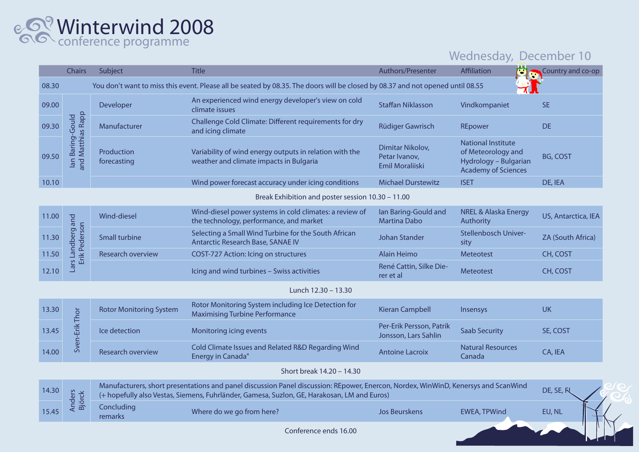## Winterwind 2008 conference programme

## Wednesday, December 10

|                                                   | <b>Chairs</b>                                                                                                                  | Subject                                                                                                                                                                                                                           | <b>Title</b>                                                                                       | Authors/Presenter                                    | Affiliation                                                                                            | Country and co-op        |  |
|---------------------------------------------------|--------------------------------------------------------------------------------------------------------------------------------|-----------------------------------------------------------------------------------------------------------------------------------------------------------------------------------------------------------------------------------|----------------------------------------------------------------------------------------------------|------------------------------------------------------|--------------------------------------------------------------------------------------------------------|--------------------------|--|
| 08.30                                             | You don't want to miss this event. Please all be seated by 08.35. The doors will be closed by 08.37 and not opened until 08.55 |                                                                                                                                                                                                                                   |                                                                                                    |                                                      |                                                                                                        |                          |  |
| 09.00                                             | and Matthias Rapp<br>lan Baring-Gould                                                                                          | Developer                                                                                                                                                                                                                         | An experienced wind energy developer's view on cold<br>climate issues                              | <b>Staffan Niklasson</b>                             | Vindkompaniet                                                                                          | <b>SE</b>                |  |
| 09.30                                             |                                                                                                                                | Manufacturer                                                                                                                                                                                                                      | Challenge Cold Climate: Different requirements for dry<br>and icing climate                        | Rüdiger Gawrisch                                     | REpower                                                                                                | <b>DE</b>                |  |
| 09.50                                             |                                                                                                                                | Production<br>forecasting                                                                                                                                                                                                         | Variability of wind energy outputs in relation with the<br>weather and climate impacts in Bulgaria | Dimitar Nikolov,<br>Petar Ivanov,<br>Emil Moraliiski | <b>National Institute</b><br>of Meteorology and<br>Hydrology - Bulgarian<br><b>Academy of Sciences</b> | <b>BG, COST</b>          |  |
| 10.10                                             |                                                                                                                                |                                                                                                                                                                                                                                   | Wind power forecast accuracy under icing conditions                                                | <b>Michael Durstewitz</b>                            | <b>ISET</b>                                                                                            | DE, IEA                  |  |
| Break Exhibition and poster session 10.30 - 11.00 |                                                                                                                                |                                                                                                                                                                                                                                   |                                                                                                    |                                                      |                                                                                                        |                          |  |
| 11.00                                             | Landberg and<br>Erik Pederson                                                                                                  | Wind-diesel                                                                                                                                                                                                                       | Wind-diesel power systems in cold climates: a review of<br>the technology, performance, and market | Ian Baring-Gould and<br><b>Martina Dabo</b>          | <b>NREL &amp; Alaska Energy</b><br>Authority                                                           | US, Antarctica, IEA      |  |
| 11.30                                             |                                                                                                                                | <b>Small turbine</b>                                                                                                                                                                                                              | Selecting a Small Wind Turbine for the South African<br><b>Antarctic Research Base, SANAE IV</b>   | Johan Stander                                        | Stellenbosch Univer-<br>sity                                                                           | <b>ZA (South Africa)</b> |  |
| 11.50                                             |                                                                                                                                | Research overview                                                                                                                                                                                                                 | <b>COST-727 Action: Icing on structures</b>                                                        | <b>Alain Heimo</b>                                   | Meteotest                                                                                              | CH, COST                 |  |
| 12.10                                             | Lars I                                                                                                                         |                                                                                                                                                                                                                                   | Icing and wind turbines - Swiss activities                                                         | René Cattin, Silke Die-<br>rer et al                 | <b>Meteotest</b>                                                                                       | CH, COST                 |  |
| Lunch 12.30 - 13.30                               |                                                                                                                                |                                                                                                                                                                                                                                   |                                                                                                    |                                                      |                                                                                                        |                          |  |
| 13.30                                             |                                                                                                                                | <b>Rotor Monitoring System</b>                                                                                                                                                                                                    | Rotor Monitoring System including Ice Detection for<br><b>Maximising Turbine Performance</b>       | <b>Kieran Campbell</b>                               | Insensys                                                                                               | <b>UK</b>                |  |
| 13.45                                             | Sven-Erik Thor                                                                                                                 | Ice detection                                                                                                                                                                                                                     | Monitoring icing events                                                                            | Per-Erik Persson, Patrik<br>Jonsson, Lars Sahlin     | <b>Saab Security</b>                                                                                   | SE, COST                 |  |
| 14.00                                             |                                                                                                                                | Research overview                                                                                                                                                                                                                 | Cold Climate Issues and Related R&D Regarding Wind<br><b>Energy in Canada"</b>                     | <b>Antoine Lacroix</b>                               | <b>Natural Resources</b><br>Canada                                                                     | CA, IEA                  |  |
|                                                   |                                                                                                                                |                                                                                                                                                                                                                                   | Short break 14.20 - 14.30                                                                          |                                                      |                                                                                                        |                          |  |
| 14.30                                             | <b>Anders</b><br><b>Björck</b>                                                                                                 | Manufacturers, short presentations and panel discussion Panel discussion: REpower, Enercon, Nordex, WinWinD, Kenersys and ScanWind<br>(+ hopefully also Vestas, Siemens, Fuhrländer, Gamesa, Suzlon, GE, Harakosan, LM and Euros) |                                                                                                    |                                                      |                                                                                                        |                          |  |
| 15.45                                             |                                                                                                                                | Concluding<br>remarks                                                                                                                                                                                                             | Where do we go from here?                                                                          | <b>Jos Beurskens</b>                                 | <b>EWEA, TPWind</b>                                                                                    | EU, NL                   |  |
|                                                   |                                                                                                                                |                                                                                                                                                                                                                                   | Conference ends 16.00                                                                              |                                                      |                                                                                                        |                          |  |